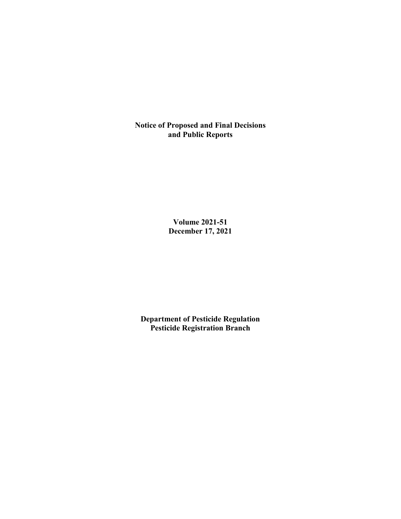**Notice of Proposed and Final Decisions and Public Reports**

> **Volume 2021-51 December 17, 2021**

**Department of Pesticide Regulation Pesticide Registration Branch**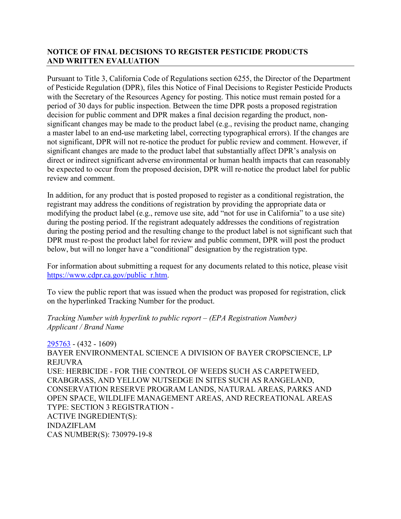# **NOTICE OF FINAL DECISIONS TO REGISTER PESTICIDE PRODUCTS AND WRITTEN EVALUATION**

Pursuant to Title 3, California Code of Regulations section 6255, the Director of the Department of Pesticide Regulation (DPR), files this Notice of Final Decisions to Register Pesticide Products with the Secretary of the Resources Agency for posting. This notice must remain posted for a period of 30 days for public inspection. Between the time DPR posts a proposed registration decision for public comment and DPR makes a final decision regarding the product, nonsignificant changes may be made to the product label (e.g., revising the product name, changing a master label to an end-use marketing label, correcting typographical errors). If the changes are not significant, DPR will not re-notice the product for public review and comment. However, if significant changes are made to the product label that substantially affect DPR's analysis on direct or indirect significant adverse environmental or human health impacts that can reasonably be expected to occur from the proposed decision, DPR will re-notice the product label for public review and comment.

In addition, for any product that is posted proposed to register as a conditional registration, the registrant may address the conditions of registration by providing the appropriate data or modifying the product label (e.g., remove use site, add "not for use in California" to a use site) during the posting period. If the registrant adequately addresses the conditions of registration during the posting period and the resulting change to the product label is not significant such that DPR must re-post the product label for review and public comment, DPR will post the product below, but will no longer have a "conditional" designation by the registration type.

For information about submitting a request for any documents related to this notice, please visit [https://www.cdpr.ca.gov/public\\_r.htm.](https://www.cdpr.ca.gov/public_r.htm)

To view the public report that was issued when the product was proposed for registration, click on the hyperlinked Tracking Number for the product.

#### *Tracking Number with hyperlink to public report – (EPA Registration Number) Applicant / Brand Name*

[295763](https://www.cdpr.ca.gov/docs/registration/nod/public_reports/295763.pdf) - (432 - 1609) BAYER ENVIRONMENTAL SCIENCE A DIVISION OF BAYER CROPSCIENCE, LP REJUVRA USE: HERBICIDE - FOR THE CONTROL OF WEEDS SUCH AS CARPETWEED, CRABGRASS, AND YELLOW NUTSEDGE IN SITES SUCH AS RANGELAND, CONSERVATION RESERVE PROGRAM LANDS, NATURAL AREAS, PARKS AND OPEN SPACE, WILDLIFE MANAGEMENT AREAS, AND RECREATIONAL AREAS TYPE: SECTION 3 REGISTRATION - ACTIVE INGREDIENT(S): INDAZIFLAM CAS NUMBER(S): 730979-19-8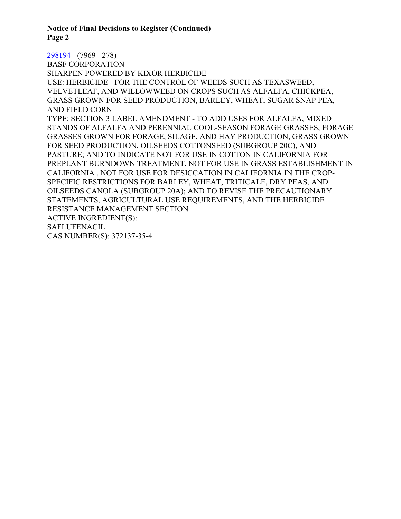**Notice of Final Decisions to Register (Continued) Page 2**

[298194](https://www.cdpr.ca.gov/docs/registration/nod/public_reports/298194.pdf) - (7969 - 278) BASF CORPORATION SHARPEN POWERED BY KIXOR HERBICIDE USE: HERBICIDE - FOR THE CONTROL OF WEEDS SUCH AS TEXASWEED, VELVETLEAF, AND WILLOWWEED ON CROPS SUCH AS ALFALFA, CHICKPEA, GRASS GROWN FOR SEED PRODUCTION, BARLEY, WHEAT, SUGAR SNAP PEA, AND FIELD CORN TYPE: SECTION 3 LABEL AMENDMENT - TO ADD USES FOR ALFALFA, MIXED STANDS OF ALFALFA AND PERENNIAL COOL-SEASON FORAGE GRASSES, FORAGE GRASSES GROWN FOR FORAGE, SILAGE, AND HAY PRODUCTION, GRASS GROWN FOR SEED PRODUCTION, OILSEEDS COTTONSEED (SUBGROUP 20C), AND PASTURE; AND TO INDICATE NOT FOR USE IN COTTON IN CALIFORNIA FOR PREPLANT BURNDOWN TREATMENT, NOT FOR USE IN GRASS ESTABLISHMENT IN CALIFORNIA , NOT FOR USE FOR DESICCATION IN CALIFORNIA IN THE CROP-SPECIFIC RESTRICTIONS FOR BARLEY, WHEAT, TRITICALE, DRY PEAS, AND OILSEEDS CANOLA (SUBGROUP 20A); AND TO REVISE THE PRECAUTIONARY STATEMENTS, AGRICULTURAL USE REQUIREMENTS, AND THE HERBICIDE RESISTANCE MANAGEMENT SECTION ACTIVE INGREDIENT(S): SAFLUFENACIL CAS NUMBER(S): 372137-35-4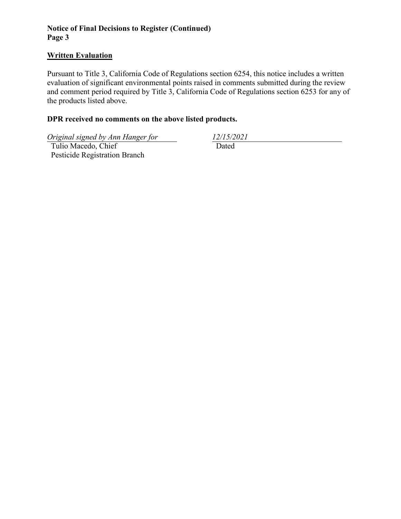# **Notice of Final Decisions to Register (Continued) Page 3**

### **Written Evaluation**

Pursuant to Title 3, California Code of Regulations section 6254, this notice includes a written evaluation of significant environmental points raised in comments submitted during the review and comment period required by Title 3, California Code of Regulations section 6253 for any of the products listed above.

# **DPR received no comments on the above listed products.**

*Original signed by Ann Hanger for 12/15/2021*

 Tulio Macedo, Chief Pesticide Registration Branch Dated